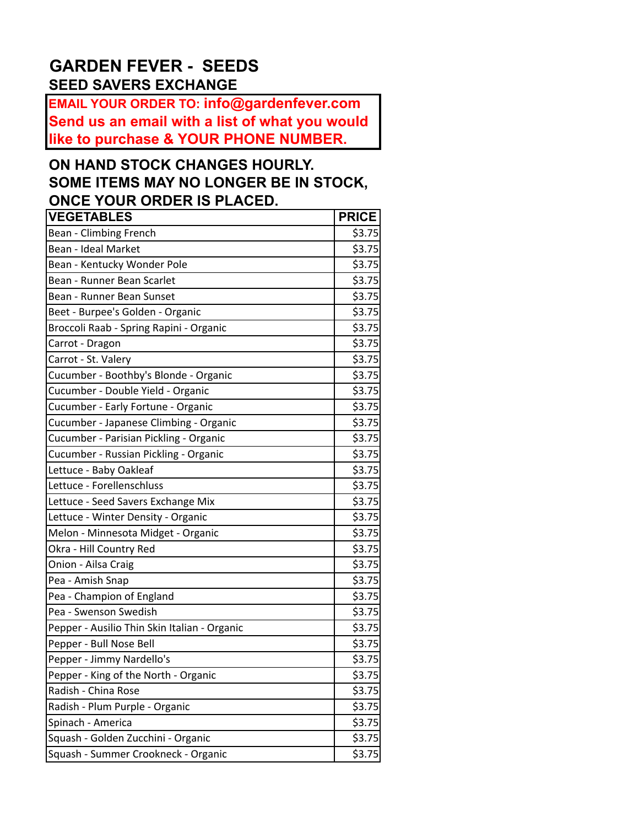## **GARDEN FEVER - SEEDS SEED SAVERS EXCHANGE**

**EMAIL YOUR ORDER TO: info@gardenfever.com Send us an email with a list of what you would like to purchase & YOUR PHONE NUMBER.**

## **ON HAND STOCK CHANGES HOURLY. SOME ITEMS MAY NO LONGER BE IN STOCK, ONCE YOUR ORDER IS PLACED.**

| <b>VEGETABLES</b>                            | <b>PRICE</b> |
|----------------------------------------------|--------------|
| Bean - Climbing French                       | \$3.75       |
| Bean - Ideal Market                          | \$3.75       |
| Bean - Kentucky Wonder Pole                  | \$3.75       |
| Bean - Runner Bean Scarlet                   | \$3.75       |
| Bean - Runner Bean Sunset                    | \$3.75       |
| Beet - Burpee's Golden - Organic             | \$3.75       |
| Broccoli Raab - Spring Rapini - Organic      | \$3.75       |
| Carrot - Dragon                              | \$3.75       |
| Carrot - St. Valery                          | \$3.75       |
| Cucumber - Boothby's Blonde - Organic        | \$3.75       |
| Cucumber - Double Yield - Organic            | \$3.75       |
| Cucumber - Early Fortune - Organic           | \$3.75       |
| Cucumber - Japanese Climbing - Organic       | \$3.75       |
| Cucumber - Parisian Pickling - Organic       | \$3.75       |
| Cucumber - Russian Pickling - Organic        | \$3.75       |
| Lettuce - Baby Oakleaf                       | \$3.75       |
| Lettuce - Forellenschluss                    | \$3.75       |
| Lettuce - Seed Savers Exchange Mix           | \$3.75       |
| Lettuce - Winter Density - Organic           | \$3.75       |
| Melon - Minnesota Midget - Organic           | \$3.75       |
| Okra - Hill Country Red                      | \$3.75       |
| Onion - Ailsa Craig                          | \$3.75       |
| Pea - Amish Snap                             | \$3.75       |
| Pea - Champion of England                    | \$3.75       |
| Pea - Swenson Swedish                        | \$3.75       |
| Pepper - Ausilio Thin Skin Italian - Organic | \$3.75       |
| Pepper - Bull Nose Bell                      | \$3.75       |
| Pepper - Jimmy Nardello's                    | \$3.75       |
| Pepper - King of the North - Organic         | \$3.75       |
| Radish - China Rose                          | \$3.75       |
| Radish - Plum Purple - Organic               | \$3.75       |
| Spinach - America                            | \$3.75       |
| Squash - Golden Zucchini - Organic           | \$3.75       |
| Squash - Summer Crookneck - Organic          | \$3.75       |